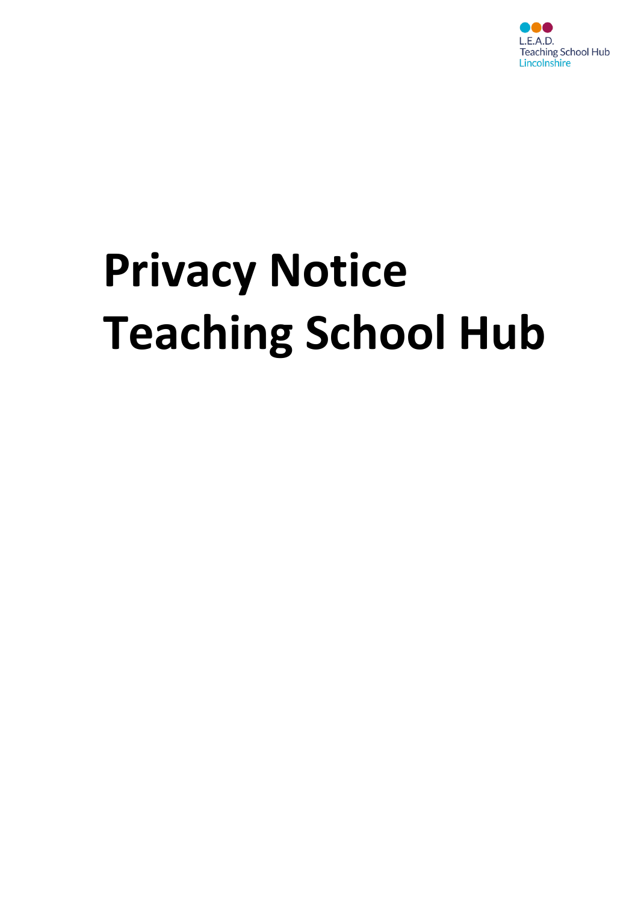

# **Privacy Notice Teaching School Hub**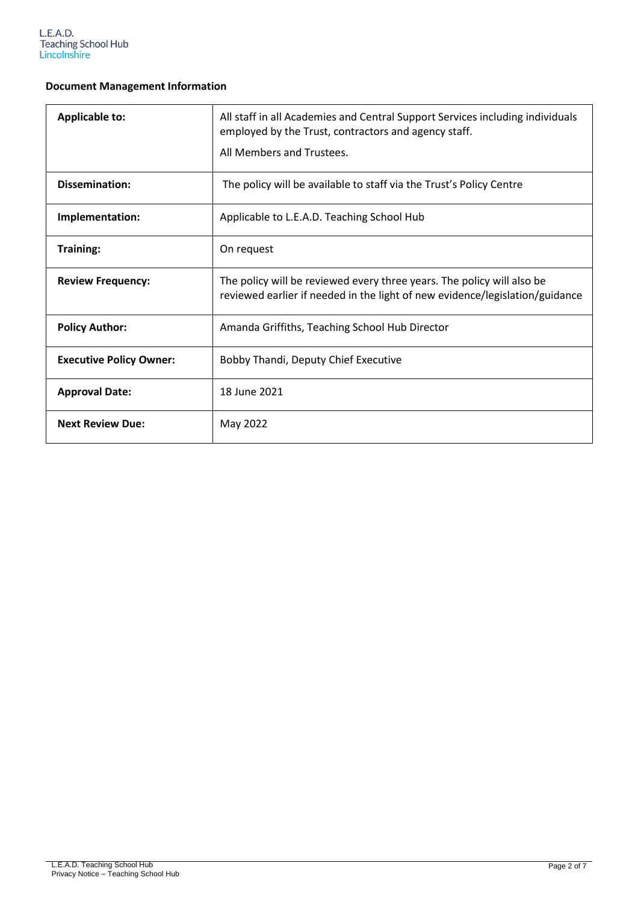### **Document Management Information**

| <b>Applicable to:</b>          | All staff in all Academies and Central Support Services including individuals<br>employed by the Trust, contractors and agency staff.<br>All Members and Trustees. |
|--------------------------------|--------------------------------------------------------------------------------------------------------------------------------------------------------------------|
| Dissemination:                 | The policy will be available to staff via the Trust's Policy Centre                                                                                                |
| Implementation:                | Applicable to L.E.A.D. Teaching School Hub                                                                                                                         |
| Training:                      | On request                                                                                                                                                         |
| <b>Review Frequency:</b>       | The policy will be reviewed every three years. The policy will also be<br>reviewed earlier if needed in the light of new evidence/legislation/guidance             |
| <b>Policy Author:</b>          | Amanda Griffiths, Teaching School Hub Director                                                                                                                     |
| <b>Executive Policy Owner:</b> | Bobby Thandi, Deputy Chief Executive                                                                                                                               |
| <b>Approval Date:</b>          | 18 June 2021                                                                                                                                                       |
| <b>Next Review Due:</b>        | May 2022                                                                                                                                                           |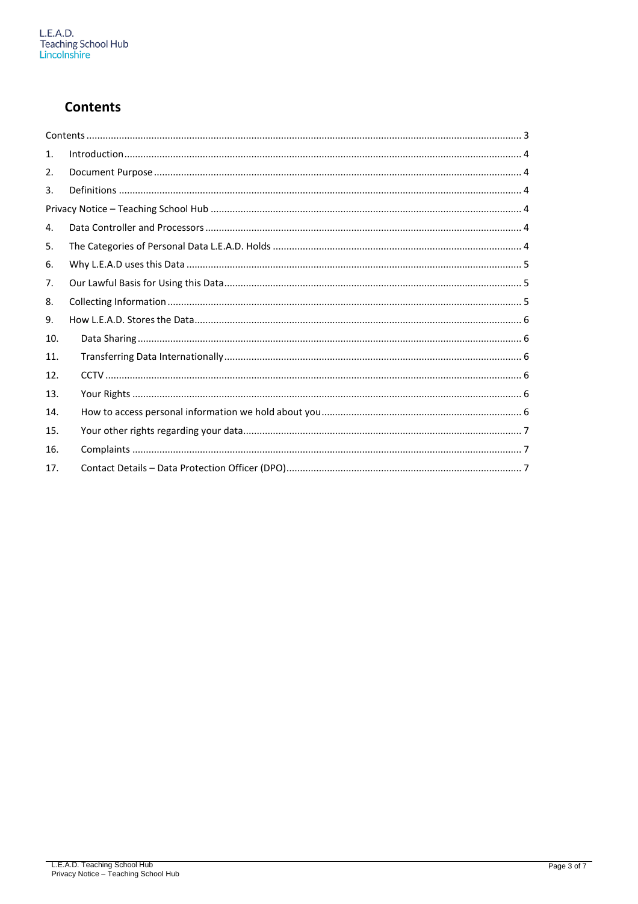## **Contents**

| 1.  |  |
|-----|--|
| 2.  |  |
| 3.  |  |
|     |  |
| 4.  |  |
| 5.  |  |
| 6.  |  |
| 7.  |  |
| 8.  |  |
| 9.  |  |
| 10. |  |
| 11. |  |
| 12. |  |
| 13. |  |
| 14. |  |
| 15. |  |
| 16. |  |
| 17. |  |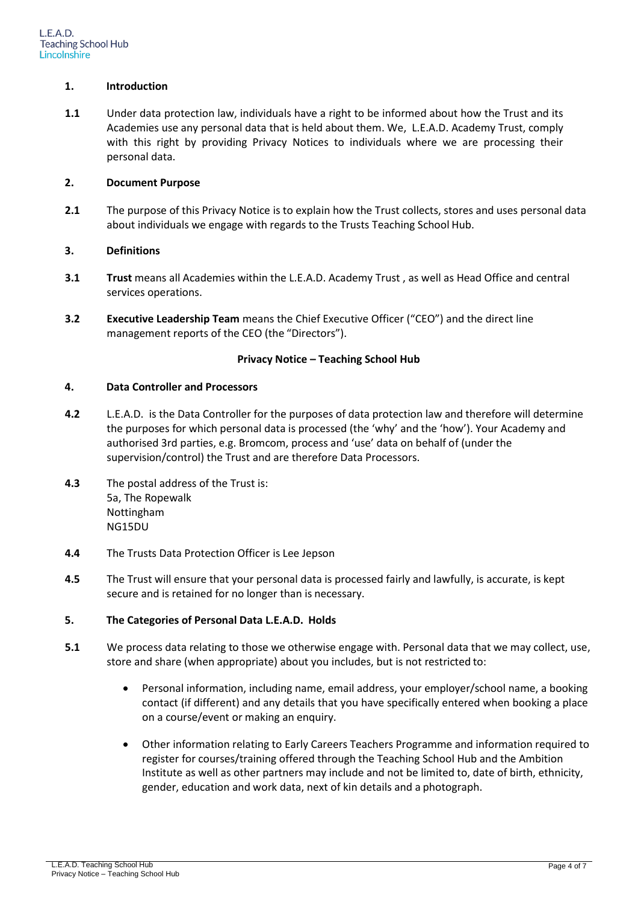#### **1. Introduction**

**1.1** Under data protection law, individuals have a right to be informed about how the Trust and its Academies use any personal data that is held about them. We, L.E.A.D. Academy Trust, comply with this right by providing Privacy Notices to individuals where we are processing their personal data.

#### **2. Document Purpose**

**2.1** The purpose of this Privacy Notice is to explain how the Trust collects, stores and uses personal data about individuals we engage with regards to the Trusts Teaching School Hub.

#### **3. Definitions**

- **3.1 Trust** means all Academies within the L.E.A.D. Academy Trust , as well as Head Office and central services operations.
- **3.2 Executive Leadership Team** means the Chief Executive Officer ("CEO") and the direct line management reports of the CEO (the "Directors").

#### **Privacy Notice – Teaching School Hub**

#### **4. Data Controller and Processors**

- **4.2** L.E.A.D. is the Data Controller for the purposes of data protection law and therefore will determine the purposes for which personal data is processed (the 'why' and the 'how'). Your Academy and authorised 3rd parties, e.g. Bromcom, process and 'use' data on behalf of (under the supervision/control) the Trust and are therefore Data Processors.
- **4.3** The postal address of the Trust is: 5a, The Ropewalk Nottingham NG15DU
- **4.4** The Trusts Data Protection Officer is Lee Jepson
- **4.5** The Trust will ensure that your personal data is processed fairly and lawfully, is accurate, is kept secure and is retained for no longer than is necessary.

#### **5. The Categories of Personal Data L.E.A.D. Holds**

- **5.1** We process data relating to those we otherwise engage with. Personal data that we may collect, use, store and share (when appropriate) about you includes, but is not restricted to:
	- Personal information, including name, email address, your employer/school name, a booking contact (if different) and any details that you have specifically entered when booking a place on a course/event or making an enquiry.
	- Other information relating to Early Careers Teachers Programme and information required to register for courses/training offered through the Teaching School Hub and the Ambition Institute as well as other partners may include and not be limited to, date of birth, ethnicity, gender, education and work data, next of kin details and a photograph.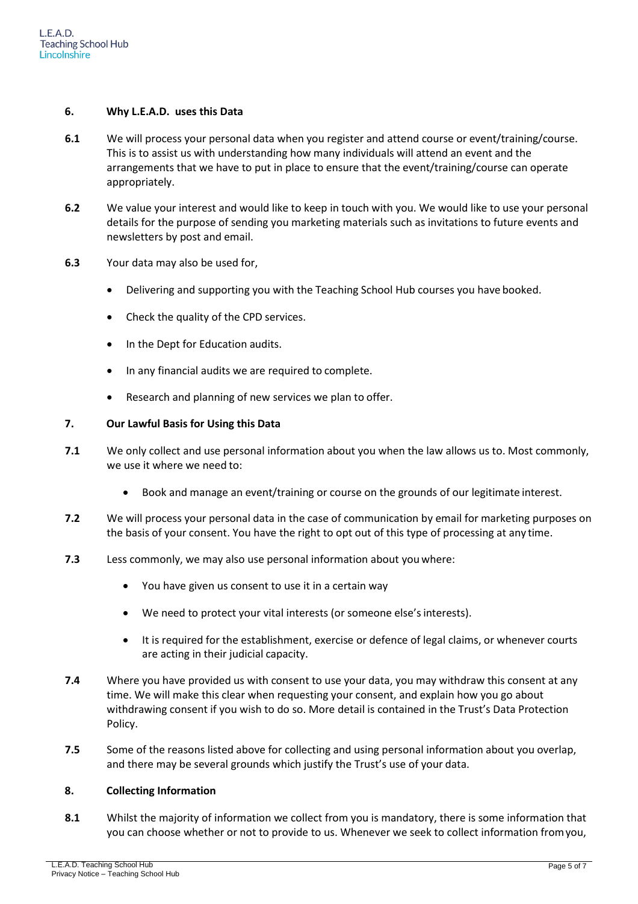#### **6. Why L.E.A.D. uses this Data**

- **6.1** We will process your personal data when you register and attend course or event/training/course. This is to assist us with understanding how many individuals will attend an event and the arrangements that we have to put in place to ensure that the event/training/course can operate appropriately.
- **6.2** We value your interest and would like to keep in touch with you. We would like to use your personal details for the purpose of sending you marketing materials such as invitations to future events and newsletters by post and email.
- **6.3** Your data may also be used for,
	- Delivering and supporting you with the Teaching School Hub courses you have booked.
	- Check the quality of the CPD services.
	- In the Dept for Education audits.
	- In any financial audits we are required to complete.
	- Research and planning of new services we plan to offer.

#### **7. Our Lawful Basis for Using this Data**

- **7.1** We only collect and use personal information about you when the law allows us to. Most commonly, we use it where we need to:
	- Book and manage an event/training or course on the grounds of our legitimate interest.
- **7.2** We will process your personal data in the case of communication by email for marketing purposes on the basis of your consent. You have the right to opt out of this type of processing at any time.
- **7.3** Less commonly, we may also use personal information about you where:
	- You have given us consent to use it in a certain way
	- We need to protect your vital interests (or someone else's interests).
	- It is required for the establishment, exercise or defence of legal claims, or whenever courts are acting in their judicial capacity.
- **7.4** Where you have provided us with consent to use your data, you may withdraw this consent at any time. We will make this clear when requesting your consent, and explain how you go about withdrawing consent if you wish to do so. More detail is contained in the Trust's Data Protection Policy.
- **7.5** Some of the reasons listed above for collecting and using personal information about you overlap, and there may be several grounds which justify the Trust's use of your data.

#### **8. Collecting Information**

**8.1** Whilst the majority of information we collect from you is mandatory, there is some information that you can choose whether or not to provide to us. Whenever we seek to collect information fromyou,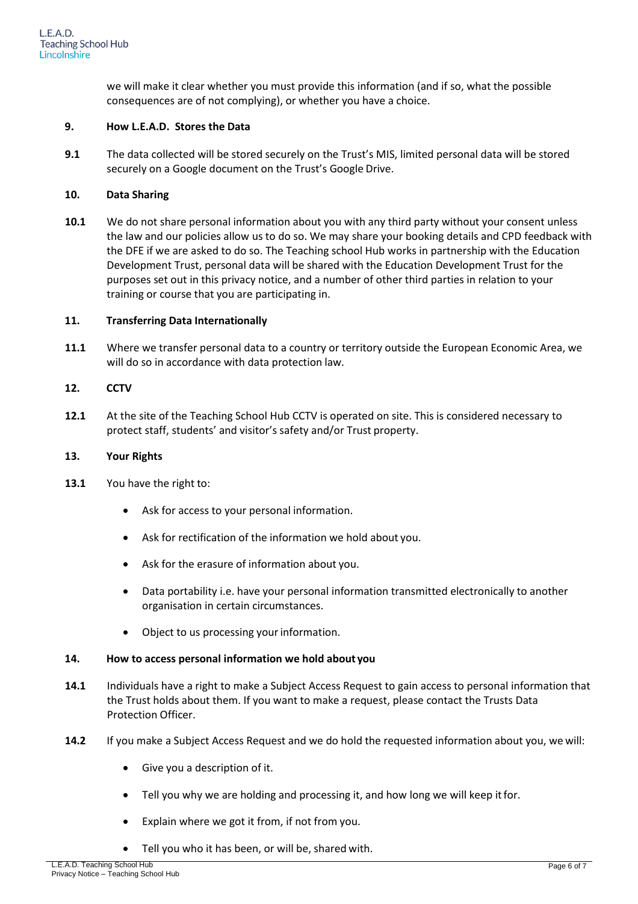we will make it clear whether you must provide this information (and if so, what the possible consequences are of not complying), or whether you have a choice.

#### **9. How L.E.A.D. Stores the Data**

**9.1** The data collected will be stored securely on the Trust's MIS, limited personal data will be stored securely on a Google document on the Trust's Google Drive.

#### **10. Data Sharing**

**10.1** We do not share personal information about you with any third party without your consent unless the law and our policies allow us to do so. We may share your booking details and CPD feedback with the DFE if we are asked to do so. The Teaching school Hub works in partnership with the Education Development Trust, personal data will be shared with the Education Development Trust for the purposes set out in this privacy notice, and a number of other third parties in relation to your training or course that you are participating in.

#### **11. Transferring Data Internationally**

**11.1** Where we transfer personal data to a country or territory outside the European Economic Area, we will do so in accordance with data protection law.

#### **12. CCTV**

**12.1** At the site of the Teaching School Hub CCTV is operated on site. This is considered necessary to protect staff, students' and visitor's safety and/or Trust property.

#### **13. Your Rights**

- **13.1** You have the right to:
	- Ask for access to your personal information.
	- Ask for rectification of the information we hold about you.
	- Ask for the erasure of information about you.
	- Data portability i.e. have your personal information transmitted electronically to another organisation in certain circumstances.
	- Object to us processing your information.

#### **14. How to access personal information we hold about you**

- **14.1** Individuals have a right to make a Subject Access Request to gain access to personal information that the Trust holds about them. If you want to make a request, please contact the Trusts Data Protection Officer.
- **14.2** If you make a Subject Access Request and we do hold the requested information about you, we will:
	- Give you a description of it.
	- Tell you why we are holding and processing it, and how long we will keep it for.
	- Explain where we got it from, if not from you.
	- Tell you who it has been, or will be, shared with.